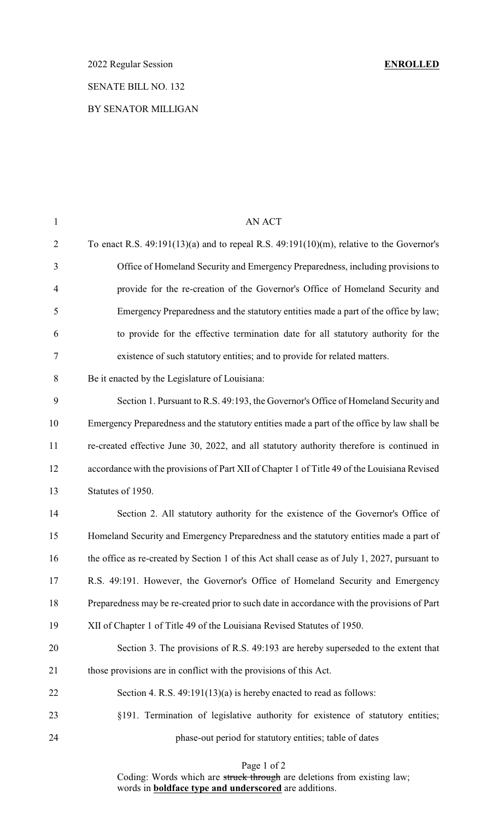# SENATE BILL NO. 132

### BY SENATOR MILLIGAN

| $\mathbf{1}$   | AN ACT                                                                                        |
|----------------|-----------------------------------------------------------------------------------------------|
| $\overline{2}$ | To enact R.S. $49:191(13)(a)$ and to repeal R.S. $49:191(10)(m)$ , relative to the Governor's |
| 3              | Office of Homeland Security and Emergency Preparedness, including provisions to               |
| $\overline{4}$ | provide for the re-creation of the Governor's Office of Homeland Security and                 |
| 5              | Emergency Preparedness and the statutory entities made a part of the office by law;           |
| 6              | to provide for the effective termination date for all statutory authority for the             |
| 7              | existence of such statutory entities; and to provide for related matters.                     |
| $8\,$          | Be it enacted by the Legislature of Louisiana:                                                |
| 9              | Section 1. Pursuant to R.S. 49:193, the Governor's Office of Homeland Security and            |
| 10             | Emergency Preparedness and the statutory entities made a part of the office by law shall be   |
| 11             | re-created effective June 30, 2022, and all statutory authority therefore is continued in     |
| 12             | accordance with the provisions of Part XII of Chapter 1 of Title 49 of the Louisiana Revised  |
| 13             | Statutes of 1950.                                                                             |
| 14             | Section 2. All statutory authority for the existence of the Governor's Office of              |
| 15             | Homeland Security and Emergency Preparedness and the statutory entities made a part of        |
| 16             | the office as re-created by Section 1 of this Act shall cease as of July 1, 2027, pursuant to |
| 17             | R.S. 49:191. However, the Governor's Office of Homeland Security and Emergency                |
| 18             | Preparedness may be re-created prior to such date in accordance with the provisions of Part   |
| 19             | XII of Chapter 1 of Title 49 of the Louisiana Revised Statutes of 1950.                       |
| 20             | Section 3. The provisions of R.S. 49:193 are hereby superseded to the extent that             |
| 21             | those provisions are in conflict with the provisions of this Act.                             |
| 22             | Section 4. R.S. $49:191(13)(a)$ is hereby enacted to read as follows:                         |
| 23             | §191. Termination of legislative authority for existence of statutory entities;               |
| 24             | phase-out period for statutory entities; table of dates                                       |
|                |                                                                                               |

#### Page 1 of 2

Coding: Words which are struck through are deletions from existing law; words in **boldface type and underscored** are additions.